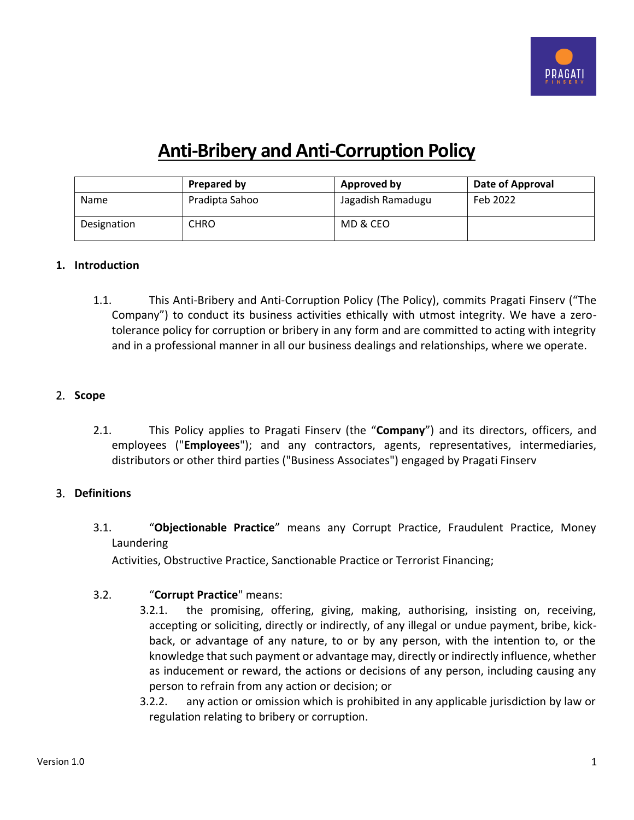

# **Anti-Bribery and Anti-Corruption Policy**

|             | Prepared by    | Approved by       | Date of Approval |
|-------------|----------------|-------------------|------------------|
| <b>Name</b> | Pradipta Sahoo | Jagadish Ramadugu | Feb 2022         |
| Designation | CHRO           | MD & CEO          |                  |

#### **1. Introduction**

1.1. This Anti-Bribery and Anti-Corruption Policy (The Policy), commits Pragati Finserv ("The Company") to conduct its business activities ethically with utmost integrity. We have a zerotolerance policy for corruption or bribery in any form and are committed to acting with integrity and in a professional manner in all our business dealings and relationships, where we operate.

## 2. **Scope**

2.1. This Policy applies to Pragati Finserv (the "**Company**") and its directors, officers, and employees ("**Employees**"); and any contractors, agents, representatives, intermediaries, distributors or other third parties ("Business Associates") engaged by Pragati Finserv

# 3. **Definitions**

3.1. "**Objectionable Practice**" means any Corrupt Practice, Fraudulent Practice, Money Laundering

Activities, Obstructive Practice, Sanctionable Practice or Terrorist Financing;

# 3.2. "**Corrupt Practice**" means:

- 3.2.1. the promising, offering, giving, making, authorising, insisting on, receiving, accepting or soliciting, directly or indirectly, of any illegal or undue payment, bribe, kickback, or advantage of any nature, to or by any person, with the intention to, or the knowledge that such payment or advantage may, directly or indirectly influence, whether as inducement or reward, the actions or decisions of any person, including causing any person to refrain from any action or decision; or
	- 3.2.2. any action or omission which is prohibited in any applicable jurisdiction by law or regulation relating to bribery or corruption.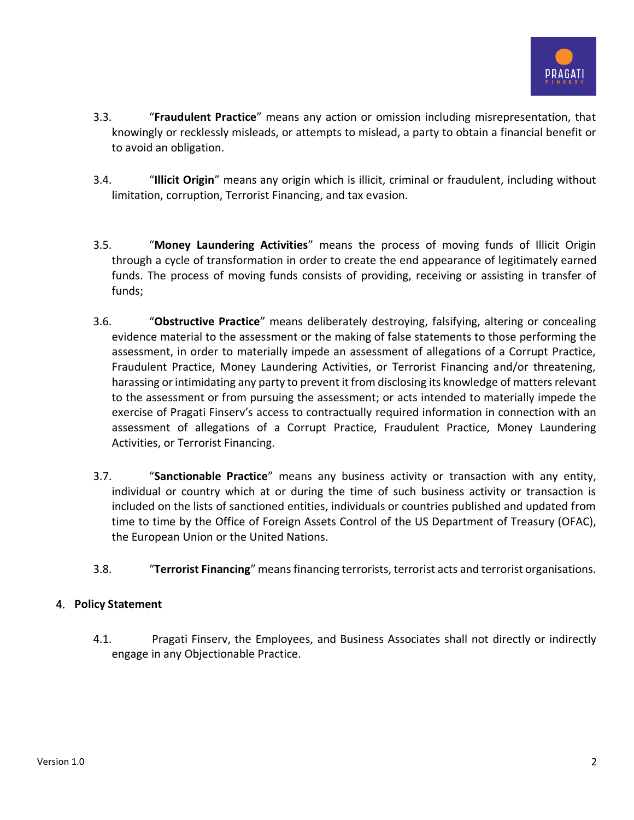

- 3.3. "**Fraudulent Practice**" means any action or omission including misrepresentation, that knowingly or recklessly misleads, or attempts to mislead, a party to obtain a financial benefit or to avoid an obligation.
- 3.4. "**Illicit Origin**" means any origin which is illicit, criminal or fraudulent, including without limitation, corruption, Terrorist Financing, and tax evasion.
- 3.5. "**Money Laundering Activities**" means the process of moving funds of Illicit Origin through a cycle of transformation in order to create the end appearance of legitimately earned funds. The process of moving funds consists of providing, receiving or assisting in transfer of funds;
- 3.6. "**Obstructive Practice**" means deliberately destroying, falsifying, altering or concealing evidence material to the assessment or the making of false statements to those performing the assessment, in order to materially impede an assessment of allegations of a Corrupt Practice, Fraudulent Practice, Money Laundering Activities, or Terrorist Financing and/or threatening, harassing or intimidating any party to prevent it from disclosing its knowledge of matters relevant to the assessment or from pursuing the assessment; or acts intended to materially impede the exercise of Pragati Finserv's access to contractually required information in connection with an assessment of allegations of a Corrupt Practice, Fraudulent Practice, Money Laundering Activities, or Terrorist Financing.
- 3.7. "**Sanctionable Practice**" means any business activity or transaction with any entity, individual or country which at or during the time of such business activity or transaction is included on the lists of sanctioned entities, individuals or countries published and updated from time to time by the Office of Foreign Assets Control of the US Department of Treasury (OFAC), the European Union or the United Nations.
- 3.8. "**Terrorist Financing**" means financing terrorists, terrorist acts and terrorist organisations.

# 4. **Policy Statement**

4.1. Pragati Finserv, the Employees, and Business Associates shall not directly or indirectly engage in any Objectionable Practice.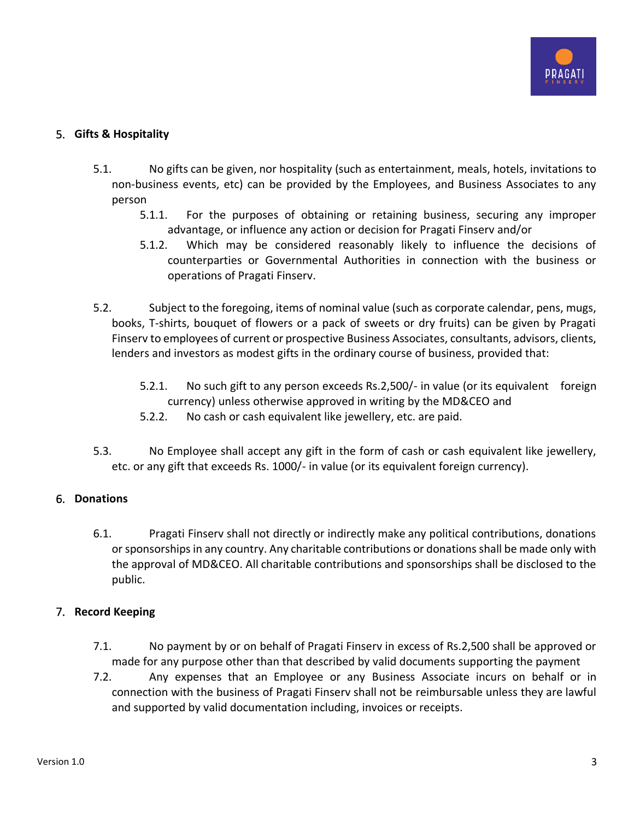

## 5. **Gifts & Hospitality**

- 5.1. No gifts can be given, nor hospitality (such as entertainment, meals, hotels, invitations to non-business events, etc) can be provided by the Employees, and Business Associates to any person
	- 5.1.1. For the purposes of obtaining or retaining business, securing any improper advantage, or influence any action or decision for Pragati Finserv and/or
	- 5.1.2. Which may be considered reasonably likely to influence the decisions of counterparties or Governmental Authorities in connection with the business or operations of Pragati Finserv.
- 5.2. Subject to the foregoing, items of nominal value (such as corporate calendar, pens, mugs, books, T-shirts, bouquet of flowers or a pack of sweets or dry fruits) can be given by Pragati Finserv to employees of current or prospective Business Associates, consultants, advisors, clients, lenders and investors as modest gifts in the ordinary course of business, provided that:
	- 5.2.1. No such gift to any person exceeds Rs.2,500/- in value (or its equivalent foreign currency) unless otherwise approved in writing by the MD&CEO and
	- 5.2.2. No cash or cash equivalent like jewellery, etc. are paid.
- 5.3. No Employee shall accept any gift in the form of cash or cash equivalent like jewellery, etc. or any gift that exceeds Rs. 1000/- in value (or its equivalent foreign currency).

# 6. **Donations**

6.1. Pragati Finserv shall not directly or indirectly make any political contributions, donations or sponsorships in any country. Any charitable contributions or donations shall be made only with the approval of MD&CEO. All charitable contributions and sponsorships shall be disclosed to the public.

# 7. **Record Keeping**

- 7.1. No payment by or on behalf of Pragati Finserv in excess of Rs.2,500 shall be approved or made for any purpose other than that described by valid documents supporting the payment
- 7.2. Any expenses that an Employee or any Business Associate incurs on behalf or in connection with the business of Pragati Finserv shall not be reimbursable unless they are lawful and supported by valid documentation including, invoices or receipts.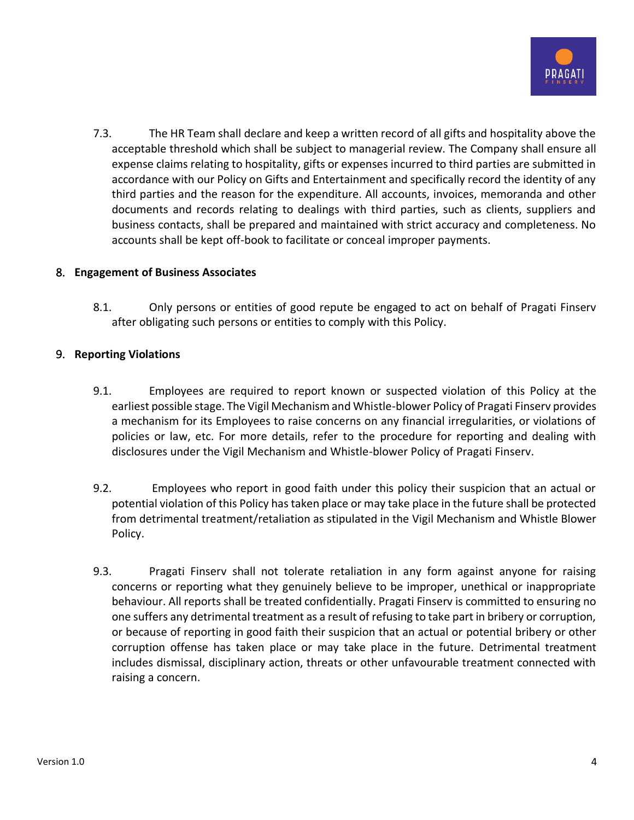

7.3. The HR Team shall declare and keep a written record of all gifts and hospitality above the acceptable threshold which shall be subject to managerial review. The Company shall ensure all expense claims relating to hospitality, gifts or expenses incurred to third parties are submitted in accordance with our Policy on Gifts and Entertainment and specifically record the identity of any third parties and the reason for the expenditure. All accounts, invoices, memoranda and other documents and records relating to dealings with third parties, such as clients, suppliers and business contacts, shall be prepared and maintained with strict accuracy and completeness. No accounts shall be kept off-book to facilitate or conceal improper payments.

## 8. **Engagement of Business Associates**

8.1. Only persons or entities of good repute be engaged to act on behalf of Pragati Finserv after obligating such persons or entities to comply with this Policy.

## 9. **Reporting Violations**

- 9.1. Employees are required to report known or suspected violation of this Policy at the earliest possible stage. The Vigil Mechanism and Whistle-blower Policy of Pragati Finserv provides a mechanism for its Employees to raise concerns on any financial irregularities, or violations of policies or law, etc. For more details, refer to the procedure for reporting and dealing with disclosures under the Vigil Mechanism and Whistle-blower Policy of Pragati Finserv.
- 9.2. Employees who report in good faith under this policy their suspicion that an actual or potential violation of this Policy has taken place or may take place in the future shall be protected from detrimental treatment/retaliation as stipulated in the Vigil Mechanism and Whistle Blower Policy.
- 9.3. Pragati Finserv shall not tolerate retaliation in any form against anyone for raising concerns or reporting what they genuinely believe to be improper, unethical or inappropriate behaviour. All reports shall be treated confidentially. Pragati Finserv is committed to ensuring no one suffers any detrimental treatment as a result of refusing to take part in bribery or corruption, or because of reporting in good faith their suspicion that an actual or potential bribery or other corruption offense has taken place or may take place in the future. Detrimental treatment includes dismissal, disciplinary action, threats or other unfavourable treatment connected with raising a concern.